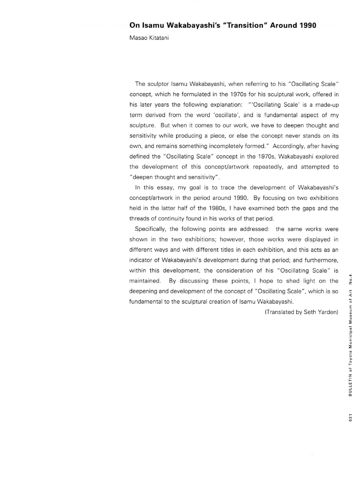Masao Kitatani

The sculptor Isamu Wakabayashi, when referring to his "Oscillating Scale" concept, which he formulated in the 1970s for his sculptural work, offered in his later years the following explanation: "'Oscillating Scale' is a made-up term derived from the word 'oscillate', and is fundamental aspect of my sculpture. But when it comes to our work, we have to deepen thought and sensitivity while producing a piece, or else the concept never stands on its own, and remains something incompletely formed." Accordingly, after having defined the "Oscillating Scale" concept in the 1970s, Wakabayashi explored the development of this concept/artwork repeatedly, and attempted to "deepen thought and sensitivity".

In this essay, my goal is to trace the development of Wakabayashi's concept/artwork in the period around 1990. By focusing on two exhibitions held in the latter half of the 1980s, I have examined both the gaps and the threads of continuity found in his works of that period.

Specifically, the following points are addressed: the same works were shown in the two exhibitions; however, those works were displayed in different ways and with different titles in each exhibition, and this acts as an indicator of Wakabayashi's development during that period; and furthermore, within this development, the consideration of his "Oscillating Scale" is maintained. By discussing these points, I hope to shed light on the deepening and development of the concept of "Oscillating Scale", which is so fundamental to the sculptural creation of Isamu Wakabayashi.

(Translated by Seth Yarden)

 $021$